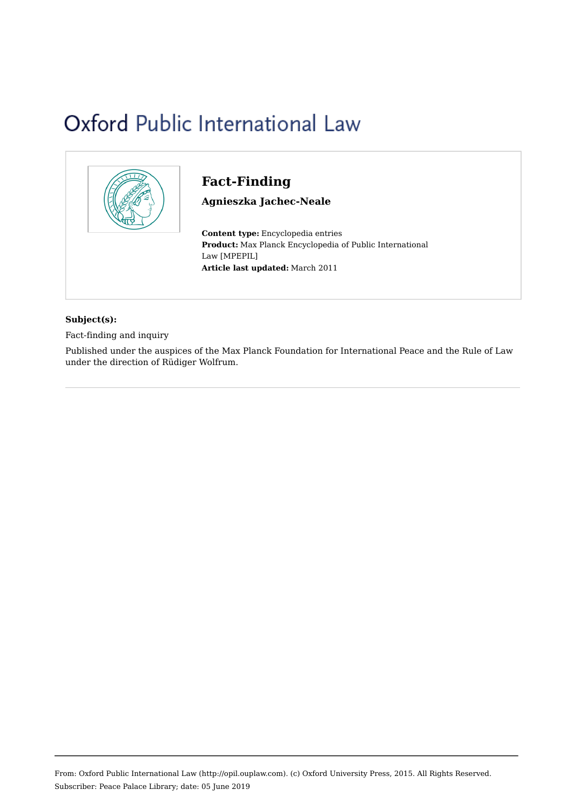# Oxford Public International Law



# **Fact-Finding**

**Agnieszka Jachec-Neale**

**Content type:** Encyclopedia entries **Product:** Max Planck Encyclopedia of Public International Law [MPEPIL] **Article last updated:** March 2011

#### **Subject(s):**

Fact-finding and inquiry

Published under the auspices of the Max Planck Foundation for International Peace and the Rule of Law under the direction of Rüdiger Wolfrum.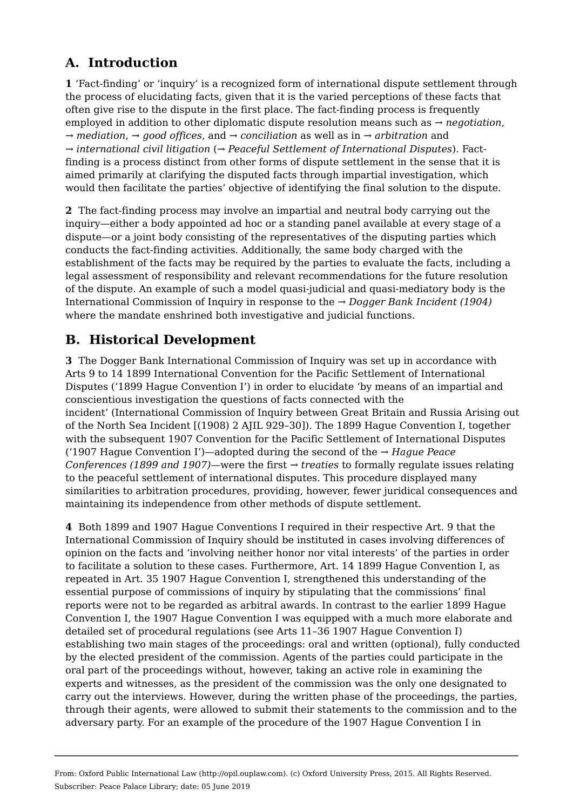# **A. Introduction**

**1** 'Fact-finding' or 'inquiry' is a recognized form of international dispute settlement through the process of elucidating facts, given that it is the varied perceptions of these facts that often give rise to the dispute in the first place. The fact-finding process is frequently employed in addition to other diplomatic dispute resolution means such as *→ negotiation*, *→ mediation*, *→ good offices*, and *→ conciliation* as well as in *→ arbitration* and *→ international civil litigation* (*→ Peaceful Settlement of International Disputes*). Factfinding is a process distinct from other forms of dispute settlement in the sense that it is aimed primarily at clarifying the disputed facts through impartial investigation, which would then facilitate the parties' objective of identifying the final solution to the dispute.

**2**  The fact-finding process may involve an impartial and neutral body carrying out the inquiry—either a body appointed ad hoc or a standing panel available at every stage of a dispute—or a joint body consisting of the representatives of the disputing parties which conducts the fact-finding activities. Additionally, the same body charged with the establishment of the facts may be required by the parties to evaluate the facts, including a legal assessment of responsibility and relevant recommendations for the future resolution of the dispute. An example of such a model quasi-judicial and quasi-mediatory body is the International Commission of Inquiry in response to the *→ Dogger Bank Incident (1904)* where the mandate enshrined both investigative and judicial functions.

# **B. Historical Development**

**3**  The Dogger Bank International Commission of Inquiry was set up in accordance with Arts 9 to 14 1899 International Convention for the Pacific Settlement of International Disputes ('1899 Hague Convention I') in order to elucidate 'by means of an impartial and conscientious investigation the questions of facts connected with the incident' (International Commission of Inquiry between Great Britain and Russia Arising out of the North Sea Incident [(1908) 2 AJIL 929–30]). The 1899 Hague Convention I, together with the subsequent 1907 Convention for the Pacific Settlement of International Disputes ('1907 Hague Convention I')—adopted during the second of the *→ Hague Peace Conferences (1899 and 1907)*—were the first *→ treaties* to formally regulate issues relating to the peaceful settlement of international disputes. This procedure displayed many similarities to arbitration procedures, providing, however, fewer juridical consequences and maintaining its independence from other methods of dispute settlement.

**4**  Both 1899 and 1907 Hague Conventions I required in their respective Art. 9 that the International Commission of Inquiry should be instituted in cases involving differences of opinion on the facts and 'involving neither honor nor vital interests' of the parties in order to facilitate a solution to these cases. Furthermore, Art. 14 1899 Hague Convention I, as repeated in Art. 35 1907 Hague Convention I, strengthened this understanding of the essential purpose of commissions of inquiry by stipulating that the commissions' final reports were not to be regarded as arbitral awards. In contrast to the earlier 1899 Hague Convention I, the 1907 Hague Convention I was equipped with a much more elaborate and detailed set of procedural regulations (see Arts 11–36 1907 Hague Convention I) establishing two main stages of the proceedings: oral and written (optional), fully conducted by the elected president of the commission. Agents of the parties could participate in the oral part of the proceedings without, however, taking an active role in examining the experts and witnesses, as the president of the commission was the only one designated to carry out the interviews. However, during the written phase of the proceedings, the parties, through their agents, were allowed to submit their statements to the commission and to the adversary party. For an example of the procedure of the 1907 Hague Convention I in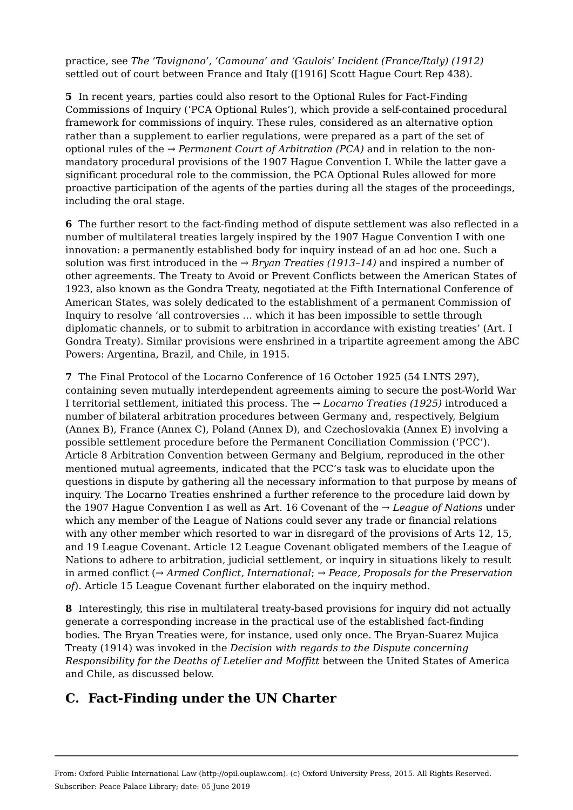practice, see *The 'Tavignano', 'Camouna' and 'Gaulois' Incident (France/Italy) (1912)* settled out of court between France and Italy ([1916] Scott Hague Court Rep 438).

**5**  In recent years, parties could also resort to the Optional Rules for Fact-Finding Commissions of Inquiry ('PCA Optional Rules'), which provide a self-contained procedural framework for commissions of inquiry. These rules, considered as an alternative option rather than a supplement to earlier regulations, were prepared as a part of the set of optional rules of the *→ Permanent Court of Arbitration (PCA)* and in relation to the nonmandatory procedural provisions of the 1907 Hague Convention I. While the latter gave a significant procedural role to the commission, the PCA Optional Rules allowed for more proactive participation of the agents of the parties during all the stages of the proceedings, including the oral stage.

**6**  The further resort to the fact-finding method of dispute settlement was also reflected in a number of multilateral treaties largely inspired by the 1907 Hague Convention I with one innovation: a permanently established body for inquiry instead of an ad hoc one. Such a solution was first introduced in the *→ Bryan Treaties (1913–14)* and inspired a number of other agreements. The Treaty to Avoid or Prevent Conflicts between the American States of 1923, also known as the Gondra Treaty, negotiated at the Fifth International Conference of American States, was solely dedicated to the establishment of a permanent Commission of Inquiry to resolve 'all controversies … which it has been impossible to settle through diplomatic channels, or to submit to arbitration in accordance with existing treaties' (Art. I Gondra Treaty). Similar provisions were enshrined in a tripartite agreement among the ABC Powers: Argentina, Brazil, and Chile, in 1915.

**7**  The Final Protocol of the Locarno Conference of 16 October 1925 (54 LNTS 297), containing seven mutually interdependent agreements aiming to secure the post-World War I territorial settlement, initiated this process. The *→ Locarno Treaties (1925)* introduced a number of bilateral arbitration procedures between Germany and, respectively, Belgium (Annex B), France (Annex C), Poland (Annex D), and Czechoslovakia (Annex E) involving a possible settlement procedure before the Permanent Conciliation Commission ('PCC'). Article 8 Arbitration Convention between Germany and Belgium, reproduced in the other mentioned mutual agreements, indicated that the PCC's task was to elucidate upon the questions in dispute by gathering all the necessary information to that purpose by means of inquiry. The Locarno Treaties enshrined a further reference to the procedure laid down by the 1907 Hague Convention I as well as Art. 16 Covenant of the *→ League of Nations* under which any member of the League of Nations could sever any trade or financial relations with any other member which resorted to war in disregard of the provisions of Arts 12, 15, and 19 League Covenant. Article 12 League Covenant obligated members of the League of Nations to adhere to arbitration, judicial settlement, or inquiry in situations likely to result in armed conflict (*→ Armed Conflict, International*; *→ Peace, Proposals for the Preservation of*). Article 15 League Covenant further elaborated on the inquiry method.

**8**  Interestingly, this rise in multilateral treaty-based provisions for inquiry did not actually generate a corresponding increase in the practical use of the established fact-finding bodies. The Bryan Treaties were, for instance, used only once. The Bryan-Suarez Mujica Treaty (1914) was invoked in the *Decision with regards to the Dispute concerning Responsibility for the Deaths of Letelier and Moffitt* between the United States of America and Chile, as discussed below.

# **C. Fact-Finding under the UN Charter**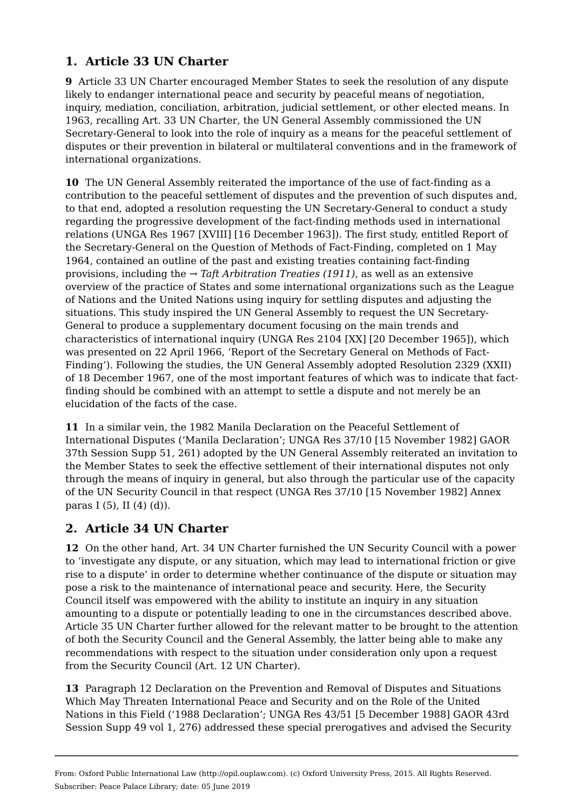#### **1. Article 33 UN Charter**

**9**  Article 33 UN Charter encouraged Member States to seek the resolution of any dispute likely to endanger international peace and security by peaceful means of negotiation, inquiry, mediation, conciliation, arbitration, judicial settlement, or other elected means. In 1963, recalling Art. 33 UN Charter, the UN General Assembly commissioned the UN Secretary-General to look into the role of inquiry as a means for the peaceful settlement of disputes or their prevention in bilateral or multilateral conventions and in the framework of international organizations.

**10**  The UN General Assembly reiterated the importance of the use of fact-finding as a contribution to the peaceful settlement of disputes and the prevention of such disputes and, to that end, adopted a resolution requesting the UN Secretary-General to conduct a study regarding the progressive development of the fact-finding methods used in international relations (UNGA Res 1967 [XVIII] [16 December 1963]). The first study, entitled Report of the Secretary-General on the Question of Methods of Fact-Finding, completed on 1 May 1964, contained an outline of the past and existing treaties containing fact-finding provisions, including the *→ Taft Arbitration Treaties (1911)*, as well as an extensive overview of the practice of States and some international organizations such as the League of Nations and the United Nations using inquiry for settling disputes and adjusting the situations. This study inspired the UN General Assembly to request the UN Secretary-General to produce a supplementary document focusing on the main trends and characteristics of international inquiry (UNGA Res 2104 [XX] [20 December 1965]), which was presented on 22 April 1966, 'Report of the Secretary General on Methods of Fact-Finding'). Following the studies, the UN General Assembly adopted Resolution 2329 (XXII) of 18 December 1967, one of the most important features of which was to indicate that factfinding should be combined with an attempt to settle a dispute and not merely be an elucidation of the facts of the case.

**11**  In a similar vein, the 1982 Manila Declaration on the Peaceful Settlement of International Disputes ('Manila Declaration'; UNGA Res 37/10 [15 November 1982] GAOR 37th Session Supp 51, 261) adopted by the UN General Assembly reiterated an invitation to the Member States to seek the effective settlement of their international disputes not only through the means of inquiry in general, but also through the particular use of the capacity of the UN Security Council in that respect (UNGA Res 37/10 [15 November 1982] Annex paras I (5), II (4) (d)).

#### **2. Article 34 UN Charter**

**12**  On the other hand, Art. 34 UN Charter furnished the UN Security Council with a power to 'investigate any dispute, or any situation, which may lead to international friction or give rise to a dispute' in order to determine whether continuance of the dispute or situation may pose a risk to the maintenance of international peace and security. Here, the Security Council itself was empowered with the ability to institute an inquiry in any situation amounting to a dispute or potentially leading to one in the circumstances described above. Article 35 UN Charter further allowed for the relevant matter to be brought to the attention of both the Security Council and the General Assembly, the latter being able to make any recommendations with respect to the situation under consideration only upon a request from the Security Council (Art. 12 UN Charter).

**13**  Paragraph 12 Declaration on the Prevention and Removal of Disputes and Situations Which May Threaten International Peace and Security and on the Role of the United Nations in this Field ('1988 Declaration'; UNGA Res 43/51 [5 December 1988] GAOR 43rd Session Supp 49 vol 1, 276) addressed these special prerogatives and advised the Security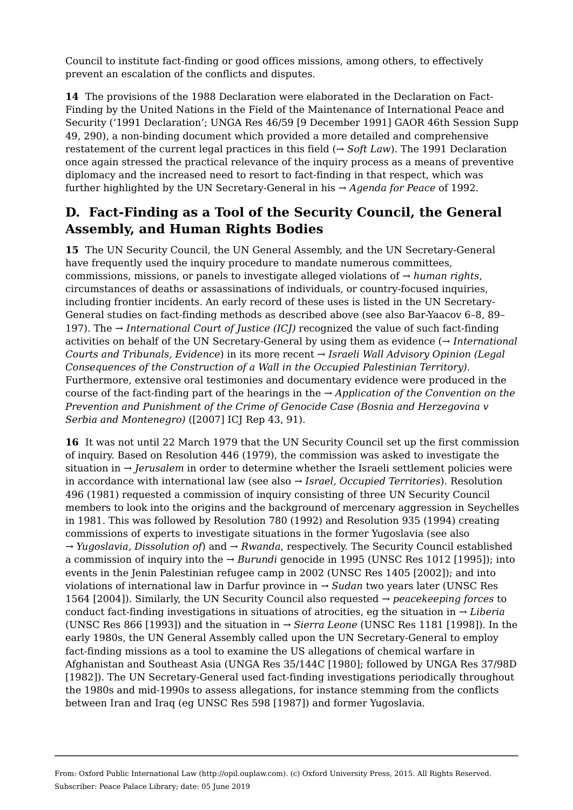Council to institute fact-finding or good offices missions, among others, to effectively prevent an escalation of the conflicts and disputes.

**14**  The provisions of the 1988 Declaration were elaborated in the Declaration on Fact-Finding by the United Nations in the Field of the Maintenance of International Peace and Security ('1991 Declaration'; UNGA Res 46/59 [9 December 1991] GAOR 46th Session Supp 49, 290), a non-binding document which provided a more detailed and comprehensive restatement of the current legal practices in this field (*→ Soft Law*). The 1991 Declaration once again stressed the practical relevance of the inquiry process as a means of preventive diplomacy and the increased need to resort to fact-finding in that respect, which was further highlighted by the UN Secretary-General in his *→ Agenda for Peace* of 1992.

## **D. Fact-Finding as a Tool of the Security Council, the General Assembly, and Human Rights Bodies**

**15**  The UN Security Council, the UN General Assembly, and the UN Secretary-General have frequently used the inquiry procedure to mandate numerous committees, commissions, missions, or panels to investigate alleged violations of *→ human rights*, circumstances of deaths or assassinations of individuals, or country-focused inquiries, including frontier incidents. An early record of these uses is listed in the UN Secretary-General studies on fact-finding methods as described above (see also Bar-Yaacov 6–8, 89– 197). The *→ International Court of Justice (ICJ)* recognized the value of such fact-finding activities on behalf of the UN Secretary-General by using them as evidence (*→ International Courts and Tribunals, Evidence*) in its more recent *→ Israeli Wall Advisory Opinion (Legal Consequences of the Construction of a Wall in the Occupied Palestinian Territory)*. Furthermore, extensive oral testimonies and documentary evidence were produced in the course of the fact-finding part of the hearings in the *→ Application of the Convention on the Prevention and Punishment of the Crime of Genocide Case (Bosnia and Herzegovina v Serbia and Montenegro)* ([2007] ICJ Rep 43, 91).

**16**  It was not until 22 March 1979 that the UN Security Council set up the first commission of inquiry. Based on Resolution 446 (1979), the commission was asked to investigate the situation in *→ Jerusalem* in order to determine whether the Israeli settlement policies were in accordance with international law (see also *→ Israel, Occupied Territories*). Resolution 496 (1981) requested a commission of inquiry consisting of three UN Security Council members to look into the origins and the background of mercenary aggression in Seychelles in 1981. This was followed by Resolution 780 (1992) and Resolution 935 (1994) creating commissions of experts to investigate situations in the former Yugoslavia (see also *→ Yugoslavia, Dissolution of*) and *→ Rwanda*, respectively. The Security Council established a commission of inquiry into the *→ Burundi* genocide in 1995 (UNSC Res 1012 [1995]); into events in the Jenin Palestinian refugee camp in 2002 (UNSC Res 1405 [2002]); and into violations of international law in Darfur province in *→ Sudan* two years later (UNSC Res 1564 [2004]). Similarly, the UN Security Council also requested *→ peacekeeping forces* to conduct fact-finding investigations in situations of atrocities, eg the situation in *→ Liberia* (UNSC Res 866 [1993]) and the situation in *→ Sierra Leone* (UNSC Res 1181 [1998]). In the early 1980s, the UN General Assembly called upon the UN Secretary-General to employ fact-finding missions as a tool to examine the US allegations of chemical warfare in Afghanistan and Southeast Asia (UNGA Res 35/144C [1980]; followed by UNGA Res 37/98D [1982]). The UN Secretary-General used fact-finding investigations periodically throughout the 1980s and mid-1990s to assess allegations, for instance stemming from the conflicts between Iran and Iraq (eg UNSC Res 598 [1987]) and former Yugoslavia.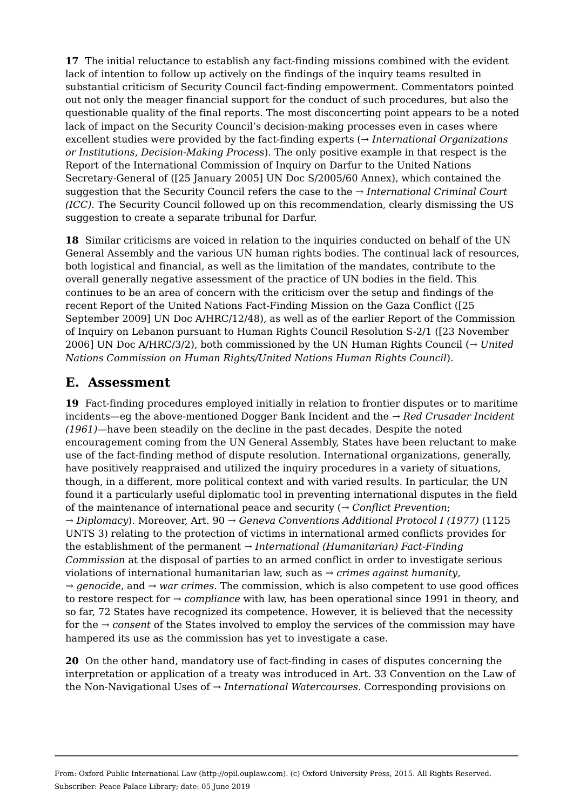**17**  The initial reluctance to establish any fact-finding missions combined with the evident lack of intention to follow up actively on the findings of the inquiry teams resulted in substantial criticism of Security Council fact-finding empowerment. Commentators pointed out not only the meager financial support for the conduct of such procedures, but also the questionable quality of the final reports. The most disconcerting point appears to be a noted lack of impact on the Security Council's decision-making processes even in cases where excellent studies were provided by the fact-finding experts (*→ International Organizations or Institutions, Decision-Making Process*). The only positive example in that respect is the Report of the International Commission of Inquiry on Darfur to the United Nations Secretary-General of ([25 January 2005] UN Doc S/2005/60 Annex), which contained the suggestion that the Security Council refers the case to the *→ International Criminal Court (ICC)*. The Security Council followed up on this recommendation, clearly dismissing the US suggestion to create a separate tribunal for Darfur.

**18**  Similar criticisms are voiced in relation to the inquiries conducted on behalf of the UN General Assembly and the various UN human rights bodies. The continual lack of resources, both logistical and financial, as well as the limitation of the mandates, contribute to the overall generally negative assessment of the practice of UN bodies in the field. This continues to be an area of concern with the criticism over the setup and findings of the recent Report of the United Nations Fact-Finding Mission on the Gaza Conflict ([25 September 2009] UN Doc A/HRC/12/48), as well as of the earlier Report of the Commission of Inquiry on Lebanon pursuant to Human Rights Council Resolution S-2/1 ([23 November 2006] UN Doc A/HRC/3/2), both commissioned by the UN Human Rights Council (*→ United Nations Commission on Human Rights/United Nations Human Rights Council*).

#### **E. Assessment**

**19**  Fact-finding procedures employed initially in relation to frontier disputes or to maritime incidents—eg the above-mentioned Dogger Bank Incident and the *→ Red Crusader Incident (1961)*—have been steadily on the decline in the past decades. Despite the noted encouragement coming from the UN General Assembly, States have been reluctant to make use of the fact-finding method of dispute resolution. International organizations, generally, have positively reappraised and utilized the inquiry procedures in a variety of situations, though, in a different, more political context and with varied results. In particular, the UN found it a particularly useful diplomatic tool in preventing international disputes in the field of the maintenance of international peace and security (*→ Conflict Prevention*; *→ Diplomacy*). Moreover, Art. 90 *→ Geneva Conventions Additional Protocol I (1977)* (1125 UNTS 3) relating to the protection of victims in international armed conflicts provides for the establishment of the permanent *→ International (Humanitarian) Fact-Finding Commission* at the disposal of parties to an armed conflict in order to investigate serious violations of international humanitarian law, such as *→ crimes against humanity*, *→ genocide*, and *→ war crimes*. The commission, which is also competent to use good offices to restore respect for *→ compliance* with law, has been operational since 1991 in theory, and so far, 72 States have recognized its competence. However, it is believed that the necessity for the *→ consent* of the States involved to employ the services of the commission may have hampered its use as the commission has yet to investigate a case.

**20**  On the other hand, mandatory use of fact-finding in cases of disputes concerning the interpretation or application of a treaty was introduced in Art. 33 Convention on the Law of the Non-Navigational Uses of *→ International Watercourses*. Corresponding provisions on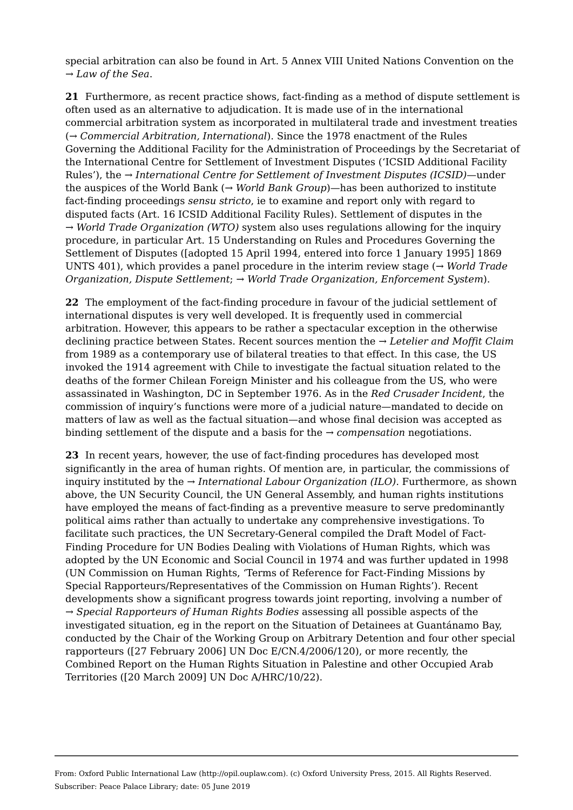special arbitration can also be found in Art. 5 Annex VIII United Nations Convention on the *→ Law of the Sea*.

**21**  Furthermore, as recent practice shows, fact-finding as a method of dispute settlement is often used as an alternative to adjudication. It is made use of in the international commercial arbitration system as incorporated in multilateral trade and investment treaties (*→ Commercial Arbitration, International*). Since the 1978 enactment of the Rules Governing the Additional Facility for the Administration of Proceedings by the Secretariat of the International Centre for Settlement of Investment Disputes ('ICSID Additional Facility Rules'), the *→ International Centre for Settlement of Investment Disputes (ICSID)*—under the auspices of the World Bank (*→ World Bank Group*)—has been authorized to institute fact-finding proceedings *sensu stricto*, ie to examine and report only with regard to disputed facts (Art. 16 ICSID Additional Facility Rules). Settlement of disputes in the *→ World Trade Organization (WTO)* system also uses regulations allowing for the inquiry procedure, in particular Art. 15 Understanding on Rules and Procedures Governing the Settlement of Disputes ([adopted 15 April 1994, entered into force 1 January 1995] 1869 UNTS 401), which provides a panel procedure in the interim review stage (*→ World Trade Organization, Dispute Settlement*; *→ World Trade Organization, Enforcement System*).

**22**  The employment of the fact-finding procedure in favour of the judicial settlement of international disputes is very well developed. It is frequently used in commercial arbitration. However, this appears to be rather a spectacular exception in the otherwise declining practice between States. Recent sources mention the *→ Letelier and Moffit Claim* from 1989 as a contemporary use of bilateral treaties to that effect. In this case, the US invoked the 1914 agreement with Chile to investigate the factual situation related to the deaths of the former Chilean Foreign Minister and his colleague from the US, who were assassinated in Washington, DC in September 1976. As in the *Red Crusader Incident*, the commission of inquiry's functions were more of a judicial nature—mandated to decide on matters of law as well as the factual situation—and whose final decision was accepted as binding settlement of the dispute and a basis for the *→ compensation* negotiations.

**23**  In recent years, however, the use of fact-finding procedures has developed most significantly in the area of human rights. Of mention are, in particular, the commissions of inquiry instituted by the *→ International Labour Organization (ILO)*. Furthermore, as shown above, the UN Security Council, the UN General Assembly, and human rights institutions have employed the means of fact-finding as a preventive measure to serve predominantly political aims rather than actually to undertake any comprehensive investigations. To facilitate such practices, the UN Secretary-General compiled the Draft Model of Fact-Finding Procedure for UN Bodies Dealing with Violations of Human Rights, which was adopted by the UN Economic and Social Council in 1974 and was further updated in 1998 (UN Commission on Human Rights, 'Terms of Reference for Fact-Finding Missions by Special Rapporteurs/Representatives of the Commission on Human Rights'). Recent developments show a significant progress towards joint reporting, involving a number of *→ Special Rapporteurs of Human Rights Bodies* assessing all possible aspects of the investigated situation, eg in the report on the Situation of Detainees at Guantánamo Bay, conducted by the Chair of the Working Group on Arbitrary Detention and four other special rapporteurs ([27 February 2006] UN Doc E/CN.4/2006/120), or more recently, the Combined Report on the Human Rights Situation in Palestine and other Occupied Arab Territories ([20 March 2009] UN Doc A/HRC/10/22).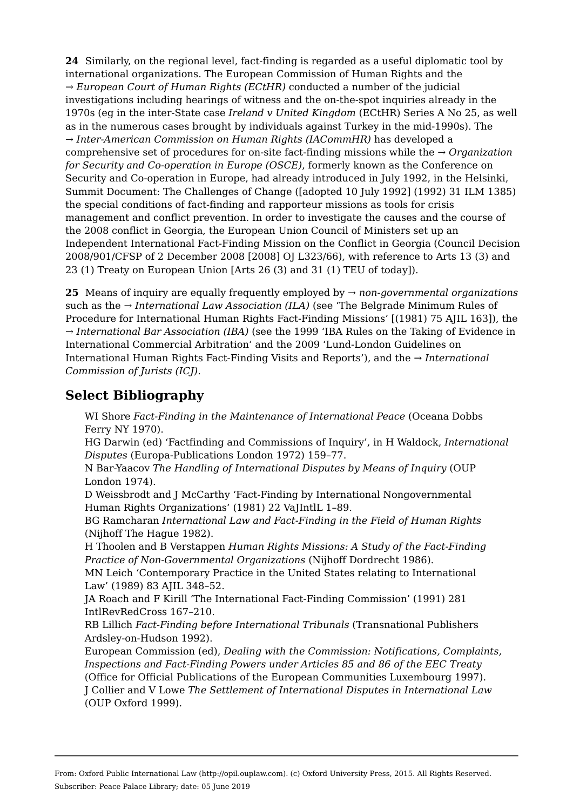**24**  Similarly, on the regional level, fact-finding is regarded as a useful diplomatic tool by international organizations. The European Commission of Human Rights and the *→ European Court of Human Rights (ECtHR)* conducted a number of the judicial investigations including hearings of witness and the on-the-spot inquiries already in the 1970s (eg in the inter-State case *Ireland v United Kingdom* (ECtHR) Series A No 25, as well as in the numerous cases brought by individuals against Turkey in the mid-1990s). The *→ Inter-American Commission on Human Rights (IACommHR)* has developed a comprehensive set of procedures for on-site fact-finding missions while the *→ Organization for Security and Co-operation in Europe (OSCE)*, formerly known as the Conference on Security and Co-operation in Europe, had already introduced in July 1992, in the Helsinki, Summit Document: The Challenges of Change ([adopted 10 July 1992] (1992) 31 ILM 1385) the special conditions of fact-finding and rapporteur missions as tools for crisis management and conflict prevention. In order to investigate the causes and the course of the 2008 conflict in Georgia, the European Union Council of Ministers set up an Independent International Fact-Finding Mission on the Conflict in Georgia (Council Decision 2008/901/CFSP of 2 December 2008 [2008] OJ L323/66), with reference to Arts 13 (3) and 23 (1) Treaty on European Union [Arts 26 (3) and 31 (1) TEU of today]).

**25**  Means of inquiry are equally frequently employed by *→ non-governmental organizations* such as the *→ International Law Association (ILA)* (see 'The Belgrade Minimum Rules of Procedure for International Human Rights Fact-Finding Missions' [(1981) 75 AJIL 163]), the *→ International Bar Association (IBA)* (see the 1999 'IBA Rules on the Taking of Evidence in International Commercial Arbitration' and the 2009 'Lund-London Guidelines on International Human Rights Fact-Finding Visits and Reports'), and the *→ International Commission of Jurists (ICJ)*.

# **Select Bibliography**

WI Shore *Fact-Finding in the Maintenance of International Peace* (Oceana Dobbs Ferry NY 1970).

HG Darwin (ed) 'Factfinding and Commissions of Inquiry', in H Waldock, *International Disputes* (Europa-Publications London 1972) 159–77.

N Bar-Yaacov *The Handling of International Disputes by Means of Inquiry* (OUP London 1974).

D Weissbrodt and J McCarthy 'Fact-Finding by International Nongovernmental Human Rights Organizations' (1981) 22 VaJIntlL 1–89.

BG Ramcharan *International Law and Fact-Finding in the Field of Human Rights* (Nijhoff The Hague 1982).

H Thoolen and B Verstappen *Human Rights Missions: A Study of the Fact-Finding Practice of Non-Governmental Organizations* (Nijhoff Dordrecht 1986).

MN Leich 'Contemporary Practice in the United States relating to International Law' (1989) 83 AJIL 348–52.

JA Roach and F Kirill 'The International Fact-Finding Commission' (1991) 281 IntlRevRedCross 167–210.

RB Lillich *Fact-Finding before International Tribunals* (Transnational Publishers Ardsley-on-Hudson 1992).

European Commission (ed), *Dealing with the Commission: Notifications, Complaints, Inspections and Fact-Finding Powers under Articles 85 and 86 of the EEC Treaty* (Office for Official Publications of the European Communities Luxembourg 1997). J Collier and V Lowe *The Settlement of International Disputes in International Law* (OUP Oxford 1999).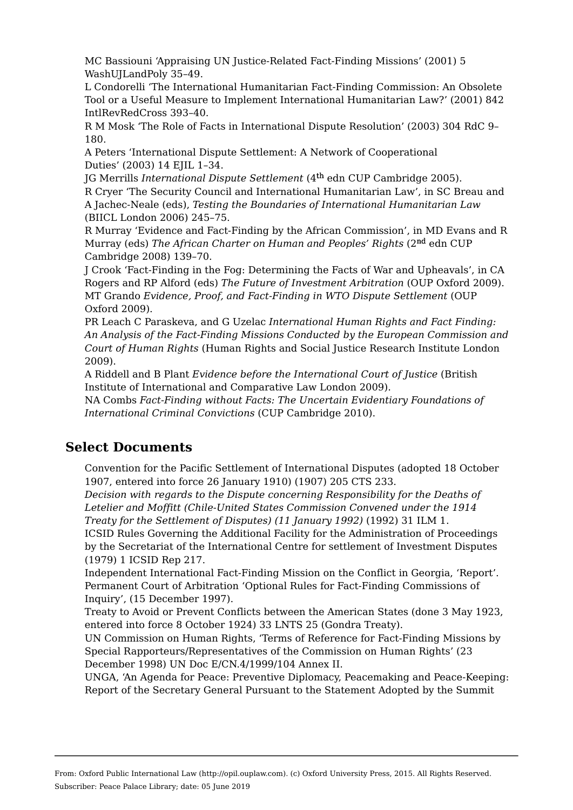MC Bassiouni 'Appraising UN Justice-Related Fact-Finding Missions' (2001) 5 WashUJLandPoly 35–49.

L Condorelli 'The International Humanitarian Fact-Finding Commission: An Obsolete Tool or a Useful Measure to Implement International Humanitarian Law?' (2001) 842 IntlRevRedCross 393–40.

R M Mosk 'The Role of Facts in International Dispute Resolution' (2003) 304 RdC 9– 180.

A Peters 'International Dispute Settlement: A Network of Cooperational Duties' (2003) 14 EJIL 1–34.

IG Merrills *International Dispute Settlement* (4<sup>th</sup> edn CUP Cambridge 2005). R Cryer 'The Security Council and International Humanitarian Law', in SC Breau and A Jachec-Neale (eds), *Testing the Boundaries of International Humanitarian Law* (BIICL London 2006) 245–75.

R Murray 'Evidence and Fact-Finding by the African Commission', in MD Evans and R Murray (eds) *The African Charter on Human and Peoples' Rights* (2<sup>nd</sup> edn CUP Cambridge 2008) 139–70.

J Crook 'Fact-Finding in the Fog: Determining the Facts of War and Upheavals', in CA Rogers and RP Alford (eds) *The Future of Investment Arbitration* (OUP Oxford 2009). MT Grando *Evidence, Proof, and Fact-Finding in WTO Dispute Settlement* (OUP Oxford 2009).

PR Leach C Paraskeva, and G Uzelac *International Human Rights and Fact Finding: An Analysis of the Fact-Finding Missions Conducted by the European Commission and Court of Human Rights* (Human Rights and Social Justice Research Institute London 2009).

A Riddell and B Plant *Evidence before the International Court of Justice* (British Institute of International and Comparative Law London 2009).

NA Combs *Fact-Finding without Facts: The Uncertain Evidentiary Foundations of International Criminal Convictions* (CUP Cambridge 2010).

### **Select Documents**

Convention for the Pacific Settlement of International Disputes (adopted 18 October 1907, entered into force 26 January 1910) (1907) 205 CTS 233.

*Decision with regards to the Dispute concerning Responsibility for the Deaths of Letelier and Moffitt (Chile-United States Commission Convened under the 1914 Treaty for the Settlement of Disputes) (11 January 1992)* (1992) 31 ILM 1.

ICSID Rules Governing the Additional Facility for the Administration of Proceedings by the Secretariat of the International Centre for settlement of Investment Disputes (1979) 1 ICSID Rep 217.

Independent International Fact-Finding Mission on the Conflict in Georgia, 'Report'. Permanent Court of Arbitration 'Optional Rules for Fact-Finding Commissions of Inquiry', (15 December 1997).

Treaty to Avoid or Prevent Conflicts between the American States (done 3 May 1923, entered into force 8 October 1924) 33 LNTS 25 (Gondra Treaty).

UN Commission on Human Rights, 'Terms of Reference for Fact-Finding Missions by Special Rapporteurs/Representatives of the Commission on Human Rights' (23 December 1998) UN Doc E/CN.4/1999/104 Annex II.

UNGA, 'An Agenda for Peace: Preventive Diplomacy, Peacemaking and Peace-Keeping: Report of the Secretary General Pursuant to the Statement Adopted by the Summit